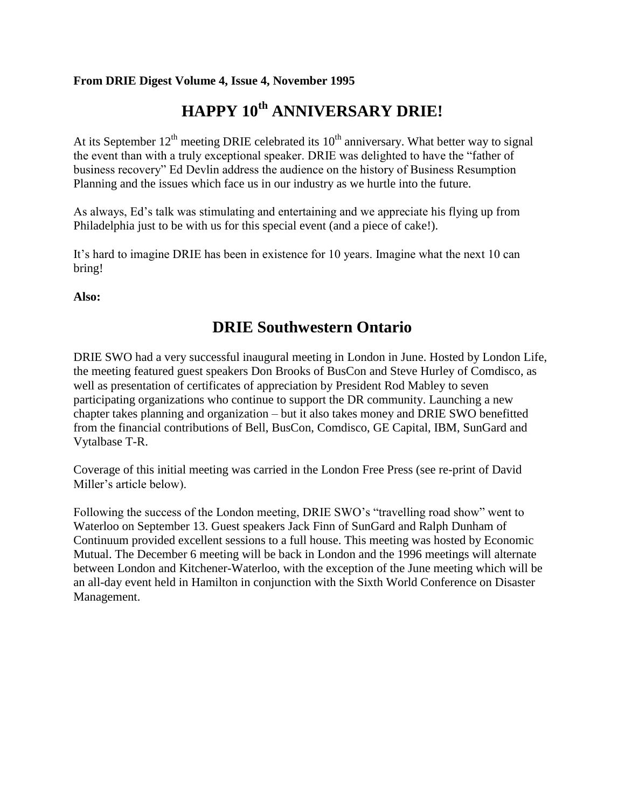#### **From DRIE Digest Volume 4, Issue 4, November 1995**

# **HAPPY 10th ANNIVERSARY DRIE!**

At its September  $12<sup>th</sup>$  meeting DRIE celebrated its  $10<sup>th</sup>$  anniversary. What better way to signal the event than with a truly exceptional speaker. DRIE was delighted to have the "father of business recovery" Ed Devlin address the audience on the history of Business Resumption Planning and the issues which face us in our industry as we hurtle into the future.

As always, Ed's talk was stimulating and entertaining and we appreciate his flying up from Philadelphia just to be with us for this special event (and a piece of cake!).

It's hard to imagine DRIE has been in existence for 10 years. Imagine what the next 10 can bring!

**Also:**

### **DRIE Southwestern Ontario**

DRIE SWO had a very successful inaugural meeting in London in June. Hosted by London Life, the meeting featured guest speakers Don Brooks of BusCon and Steve Hurley of Comdisco, as well as presentation of certificates of appreciation by President Rod Mabley to seven participating organizations who continue to support the DR community. Launching a new chapter takes planning and organization – but it also takes money and DRIE SWO benefitted from the financial contributions of Bell, BusCon, Comdisco, GE Capital, IBM, SunGard and Vytalbase T-R.

Coverage of this initial meeting was carried in the London Free Press (see re-print of David Miller's article below).

Following the success of the London meeting, DRIE SWO's "travelling road show" went to Waterloo on September 13. Guest speakers Jack Finn of SunGard and Ralph Dunham of Continuum provided excellent sessions to a full house. This meeting was hosted by Economic Mutual. The December 6 meeting will be back in London and the 1996 meetings will alternate between London and Kitchener-Waterloo, with the exception of the June meeting which will be an all-day event held in Hamilton in conjunction with the Sixth World Conference on Disaster Management.